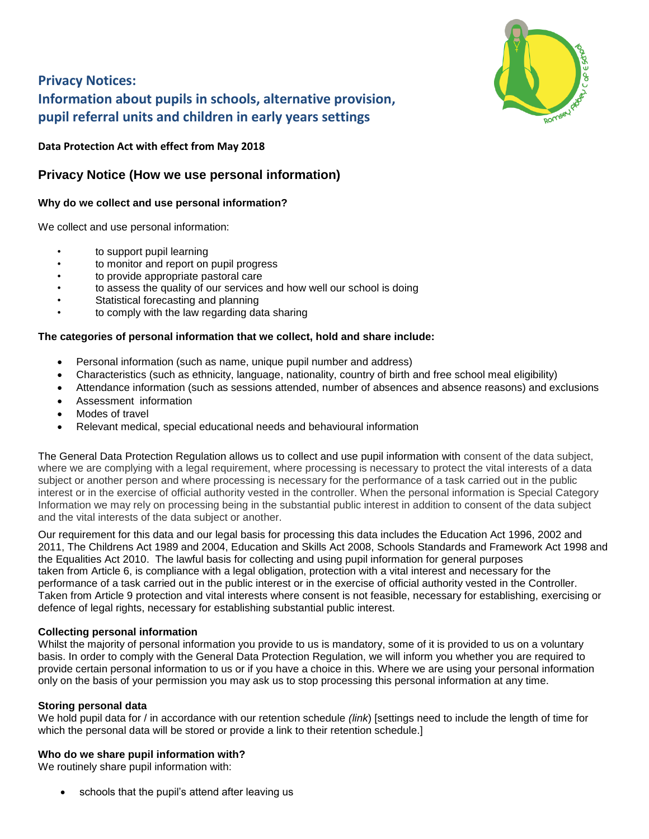

# **Privacy Notices: Information about pupils in schools, alternative provision, pupil referral units and children in early years settings**

**Data Protection Act with effect from May 2018**

# **Privacy Notice (How we use personal information)**

## **Why do we collect and use personal information?**

We collect and use personal information:

- to support pupil learning
- to monitor and report on pupil progress
- to provide appropriate pastoral care
- to assess the quality of our services and how well our school is doing
- Statistical forecasting and planning
- to comply with the law regarding data sharing

#### **The categories of personal information that we collect, hold and share include:**

- Personal information (such as name, unique pupil number and address)
- Characteristics (such as ethnicity, language, nationality, country of birth and free school meal eligibility)
- Attendance information (such as sessions attended, number of absences and absence reasons) and exclusions
- Assessment information
- Modes of travel
- Relevant medical, special educational needs and behavioural information

The General Data Protection Regulation allows us to collect and use pupil information with consent of the data subject, where we are complying with a legal requirement, where processing is necessary to protect the vital interests of a data subject or another person and where processing is necessary for the performance of a task carried out in the public interest or in the exercise of official authority vested in the controller. When the personal information is Special Category Information we may rely on processing being in the substantial public interest in addition to consent of the data subject and the vital interests of the data subject or another.

Our requirement for this data and our legal basis for processing this data includes the Education Act 1996, 2002 and 2011, The Childrens Act 1989 and 2004, Education and Skills Act 2008, Schools Standards and Framework Act 1998 and the Equalities Act 2010. The lawful basis for collecting and using pupil information for general purposes taken from Article 6, is compliance with a legal obligation, protection with a vital interest and necessary for the performance of a task carried out in the public interest or in the exercise of official authority vested in the Controller. Taken from Article 9 protection and vital interests where consent is not feasible, necessary for establishing, exercising or defence of legal rights, necessary for establishing substantial public interest.

### **Collecting personal information**

Whilst the majority of personal information you provide to us is mandatory, some of it is provided to us on a voluntary basis. In order to comply with the General Data Protection Regulation, we will inform you whether you are required to provide certain personal information to us or if you have a choice in this. Where we are using your personal information only on the basis of your permission you may ask us to stop processing this personal information at any time.

### **Storing personal data**

We hold pupil data for / in accordance with our retention schedule *(link*) [settings need to include the length of time for which the personal data will be stored or provide a link to their retention schedule.]

### **Who do we share pupil information with?**

We routinely share pupil information with:

schools that the pupil's attend after leaving us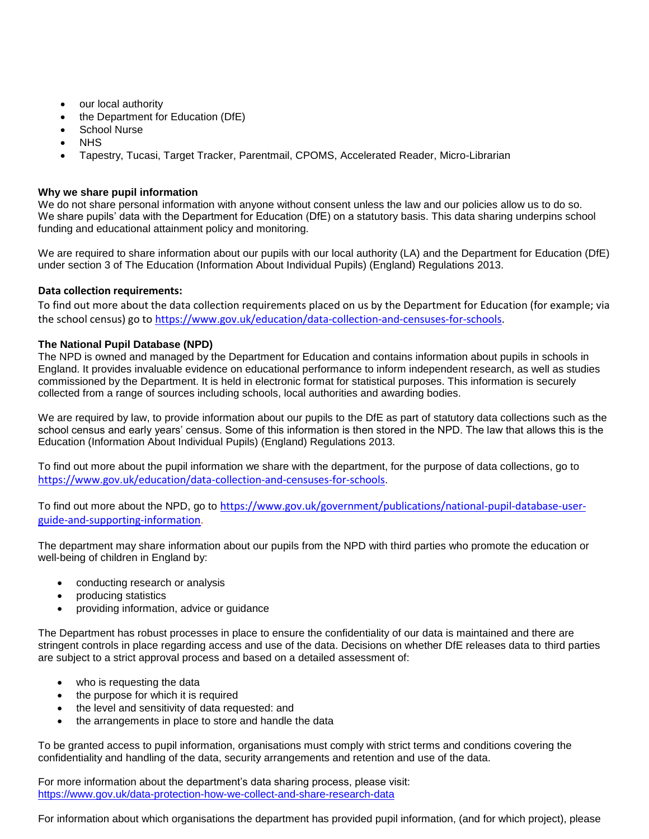- our local authority
- the Department for Education (DfE)
- School Nurse
- **NHS**
- Tapestry, Tucasi, Target Tracker, Parentmail, CPOMS, Accelerated Reader, Micro-Librarian

#### **Why we share pupil information**

We do not share personal information with anyone without consent unless the law and our policies allow us to do so. We share pupils' data with the Department for Education (DfE) on a statutory basis. This data sharing underpins school funding and educational attainment policy and monitoring.

We are required to share information about our pupils with our local authority (LA) and the Department for Education (DfE) under section 3 of The Education (Information About Individual Pupils) (England) Regulations 2013.

#### **Data collection requirements:**

To find out more about the data collection requirements placed on us by the Department for Education (for example; via the school census) go to [https://www.gov.uk/education/data-collection-and-censuses-for-schools.](https://www.gov.uk/education/data-collection-and-censuses-for-schools)

#### **The National Pupil Database (NPD)**

The NPD is owned and managed by the Department for Education and contains information about pupils in schools in England. It provides invaluable evidence on educational performance to inform independent research, as well as studies commissioned by the Department. It is held in electronic format for statistical purposes. This information is securely collected from a range of sources including schools, local authorities and awarding bodies.

We are required by law, to provide information about our pupils to the DfE as part of statutory data collections such as the school census and early years' census. Some of this information is then stored in the NPD. The law that allows this is the Education (Information About Individual Pupils) (England) Regulations 2013.

To find out more about the pupil information we share with the department, for the purpose of data collections, go to <https://www.gov.uk/education/data-collection-and-censuses-for-schools>.

To find out more about the NPD, go to [https://www.gov.uk/government/publications/national-pupil-database-user](https://www.gov.uk/government/publications/national-pupil-database-user-guide-and-supporting-information)[guide-and-supporting-information](https://www.gov.uk/government/publications/national-pupil-database-user-guide-and-supporting-information).

The department may share information about our pupils from the NPD with third parties who promote the education or well-being of children in England by:

- conducting research or analysis
- producing statistics
- providing information, advice or guidance

The Department has robust processes in place to ensure the confidentiality of our data is maintained and there are stringent controls in place regarding access and use of the data. Decisions on whether DfE releases data to third parties are subject to a strict approval process and based on a detailed assessment of:

- who is requesting the data
- the purpose for which it is required
- the level and sensitivity of data requested: and
- the arrangements in place to store and handle the data

To be granted access to pupil information, organisations must comply with strict terms and conditions covering the confidentiality and handling of the data, security arrangements and retention and use of the data.

For more information about the department's data sharing process, please visit: <https://www.gov.uk/data-protection-how-we-collect-and-share-research-data>

For information about which organisations the department has provided pupil information, (and for which project), please